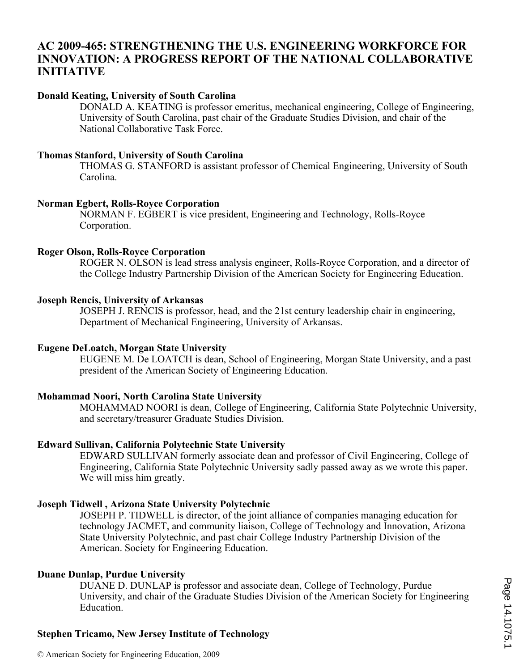## **AC 2009-465: STRENGTHENING THE U.S. ENGINEERING WORKFORCE FOR INNOVATION: A PROGRESS REPORT OF THE NATIONAL COLLABORATIVE INITIATIVE**

## **Donald Keating, University of South Carolina**

DONALD A. KEATING is professor emeritus, mechanical engineering, College of Engineering, University of South Carolina, past chair of the Graduate Studies Division, and chair of the National Collaborative Task Force.

## **Thomas Stanford, University of South Carolina**

THOMAS G. STANFORD is assistant professor of Chemical Engineering, University of South Carolina.

## **Norman Egbert, Rolls-Royce Corporation**

NORMAN F. EGBERT is vice president, Engineering and Technology, Rolls-Royce Corporation.

## **Roger Olson, Rolls-Royce Corporation**

ROGER N. OLSON is lead stress analysis engineer, Rolls-Royce Corporation, and a director of the College Industry Partnership Division of the American Society for Engineering Education.

## **Joseph Rencis, University of Arkansas**

JOSEPH J. RENCIS is professor, head, and the 21st century leadership chair in engineering, Department of Mechanical Engineering, University of Arkansas.

## **Eugene DeLoatch, Morgan State University**

EUGENE M. De LOATCH is dean, School of Engineering, Morgan State University, and a past president of the American Society of Engineering Education.

## **Mohammad Noori, North Carolina State University**

MOHAMMAD NOORI is dean, College of Engineering, California State Polytechnic University, and secretary/treasurer Graduate Studies Division.

## **Edward Sullivan, California Polytechnic State University**

EDWARD SULLIVAN formerly associate dean and professor of Civil Engineering, College of Engineering, California State Polytechnic University sadly passed away as we wrote this paper. We will miss him greatly.

## **Joseph Tidwell , Arizona State University Polytechnic**

JOSEPH P. TIDWELL is director, of the joint alliance of companies managing education for technology JACMET, and community liaison, College of Technology and Innovation, Arizona State University Polytechnic, and past chair College Industry Partnership Division of the American. Society for Engineering Education.

## **Duane Dunlap, Purdue University**

DUANE D. DUNLAP is professor and associate dean, College of Technology, Purdue University, and chair of the Graduate Studies Division of the American Society for Engineering Education.

## **Stephen Tricamo, New Jersey Institute of Technology**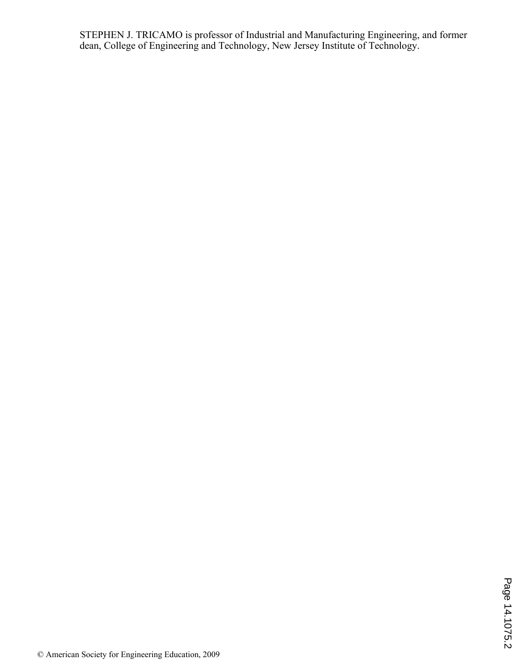STEPHEN J. TRICAMO is professor of Industrial and Manufacturing Engineering, and former dean, College of Engineering and Technology, New Jersey Institute of Technology.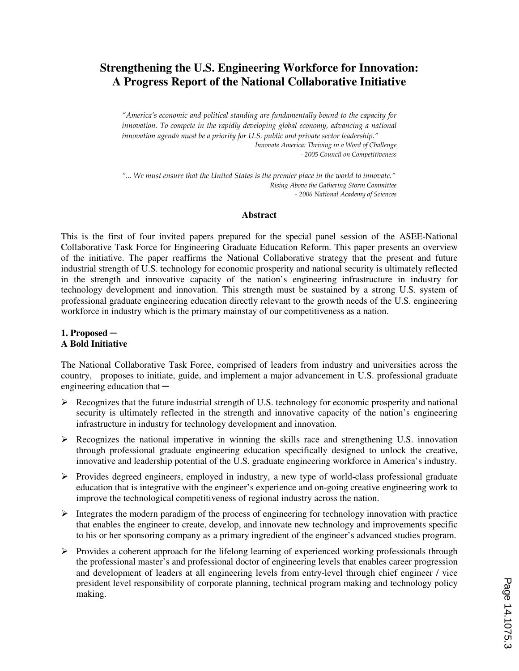## **Strengthening the U.S. Engineering Workforce for Innovation: A Progress Report of the National Collaborative Initiative**

*"America's economic and political standing are fundamentally bound to the capacity for*  innovation. To compete in the rapidly developing global economy, advancing a national *innovation agenda must be a priority for U.S. public and private sector leadership*.*" Innovate America: Thriving in a Word of Challenge - 2005 Council on Competitiveness* 

*"... We must ensure that the United States is the premier place in the world to innovate." Rising Above the Gathering Storm Committee - 2006 National Academy of Sciences* 

#### **Abstract**

This is the first of four invited papers prepared for the special panel session of the ASEE-National Collaborative Task Force for Engineering Graduate Education Reform. This paper presents an overview of the initiative. The paper reaffirms the National Collaborative strategy that the present and future industrial strength of U.S. technology for economic prosperity and national security is ultimately reflected in the strength and innovative capacity of the nation's engineering infrastructure in industry for technology development and innovation. This strength must be sustained by a strong U.S. system of professional graduate engineering education directly relevant to the growth needs of the U.S. engineering workforce in industry which is the primary mainstay of our competitiveness as a nation.

## **1. Proposed ─ A Bold Initiative**

The National Collaborative Task Force, comprised of leaders from industry and universities across the country, proposes to initiate, guide, and implement a major advancement in U.S. professional graduate engineering education that  $-$ 

- $\triangleright$  Recognizes that the future industrial strength of U.S. technology for economic prosperity and national security is ultimately reflected in the strength and innovative capacity of the nation's engineering infrastructure in industry for technology development and innovation.
- $\triangleright$  Recognizes the national imperative in winning the skills race and strengthening U.S. innovation through professional graduate engineering education specifically designed to unlock the creative, innovative and leadership potential of the U.S. graduate engineering workforce in America's industry.
- $\triangleright$  Provides degreed engineers, employed in industry, a new type of world-class professional graduate education that is integrative with the engineer's experience and on-going creative engineering work to improve the technological competitiveness of regional industry across the nation.
- $\triangleright$  Integrates the modern paradigm of the process of engineering for technology innovation with practice that enables the engineer to create, develop, and innovate new technology and improvements specific to his or her sponsoring company as a primary ingredient of the engineer's advanced studies program.
- $\triangleright$  Provides a coherent approach for the lifelong learning of experienced working professionals through the professional master's and professional doctor of engineering levels that enables career progression and development of leaders at all engineering levels from entry-level through chief engineer / vice president level responsibility of corporate planning, technical program making and technology policy making.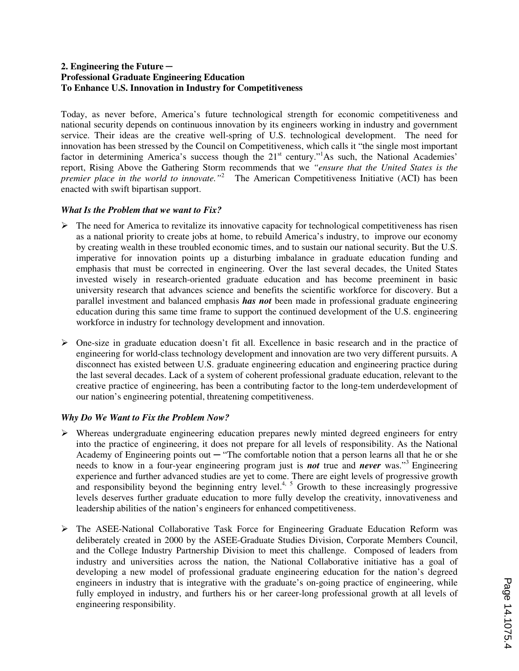## **2. Engineering the Future ─ Professional Graduate Engineering Education To Enhance U.S. Innovation in Industry for Competitiveness**

Today, as never before, America's future technological strength for economic competitiveness and national security depends on continuous innovation by its engineers working in industry and government service. Their ideas are the creative well-spring of U.S. technological development. The need for innovation has been stressed by the Council on Competitiveness, which calls it "the single most important factor in determining America's success though the 21<sup>st</sup> century."<sup>1</sup>As such, the National Academies' report, Rising Above the Gathering Storm recommends that we *"ensure that the United States is the premier place in the world to innovate.*"<sup>2</sup> The American Competitiveness Initiative (ACI) has been enacted with swift bipartisan support.

## *What Is the Problem that we want to Fix?*

- $\triangleright$  The need for America to revitalize its innovative capacity for technological competitiveness has risen as a national priority to create jobs at home, to rebuild America's industry, to improve our economy by creating wealth in these troubled economic times, and to sustain our national security. But the U.S. imperative for innovation points up a disturbing imbalance in graduate education funding and emphasis that must be corrected in engineering. Over the last several decades, the United States invested wisely in research-oriented graduate education and has become preeminent in basic university research that advances science and benefits the scientific workforce for discovery. But a parallel investment and balanced emphasis *has not* been made in professional graduate engineering education during this same time frame to support the continued development of the U.S. engineering workforce in industry for technology development and innovation.
- $\triangleright$  One-size in graduate education doesn't fit all. Excellence in basic research and in the practice of engineering for world-class technology development and innovation are two very different pursuits. A disconnect has existed between U.S. graduate engineering education and engineering practice during the last several decades. Lack of a system of coherent professional graduate education, relevant to the creative practice of engineering, has been a contributing factor to the long-tem underdevelopment of our nation's engineering potential, threatening competitiveness.

## *Why Do We Want to Fix the Problem Now?*

- $\triangleright$  Whereas undergraduate engineering education prepares newly minted degreed engineers for entry into the practice of engineering, it does not prepare for all levels of responsibility. As the National Academy of Engineering points out  $-$  "The comfortable notion that a person learns all that he or she needs to know in a four-year engineering program just is **not** true and **never** was."<sup>3</sup> Engineering experience and further advanced studies are yet to come. There are eight levels of progressive growth and responsibility beyond the beginning entry level.<sup>4, 5</sup> Growth to these increasingly progressive levels deserves further graduate education to more fully develop the creativity, innovativeness and leadership abilities of the nation's engineers for enhanced competitiveness.
- $\triangleright$  The ASEE-National Collaborative Task Force for Engineering Graduate Education Reform was deliberately created in 2000 by the ASEE-Graduate Studies Division, Corporate Members Council, and the College Industry Partnership Division to meet this challenge. Composed of leaders from industry and universities across the nation, the National Collaborative initiative has a goal of developing a new model of professional graduate engineering education for the nation's degreed engineers in industry that is integrative with the graduate's on-going practice of engineering, while fully employed in industry, and furthers his or her career-long professional growth at all levels of engineering responsibility.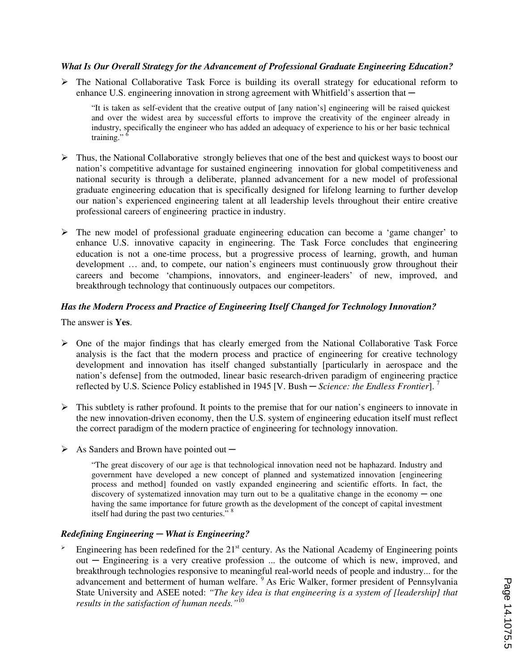## *What Is Our Overall Strategy for the Advancement of Professional Graduate Engineering Education?*

 $\triangleright$  The National Collaborative Task Force is building its overall strategy for educational reform to enhance U.S. engineering innovation in strong agreement with Whitfield's assertion that  $-$ 

"It is taken as self-evident that the creative output of [any nation's] engineering will be raised quickest and over the widest area by successful efforts to improve the creativity of the engineer already in industry, specifically the engineer who has added an adequacy of experience to his or her basic technical training."<sup>6</sup>

- $\triangleright$  Thus, the National Collaborative strongly believes that one of the best and quickest ways to boost our nation's competitive advantage for sustained engineering innovation for global competitiveness and national security is through a deliberate, planned advancement for a new model of professional graduate engineering education that is specifically designed for lifelong learning to further develop our nation's experienced engineering talent at all leadership levels throughout their entire creative professional careers of engineering practice in industry.
- $\triangleright$  The new model of professional graduate engineering education can become a 'game changer' to enhance U.S. innovative capacity in engineering. The Task Force concludes that engineering education is not a one-time process, but a progressive process of learning, growth, and human development … and, to compete, our nation's engineers must continuously grow throughout their careers and become 'champions, innovators, and engineer-leaders' of new, improved, and breakthrough technology that continuously outpaces our competitors.

## *Has the Modern Process and Practice of Engineering Itself Changed for Technology Innovation?*

The answer is **Yes**.

- $\triangleright$  One of the major findings that has clearly emerged from the National Collaborative Task Force analysis is the fact that the modern process and practice of engineering for creative technology development and innovation has itself changed substantially [particularly in aerospace and the nation's defense] from the outmoded, linear basic research-driven paradigm of engineering practice reflected by U.S. Science Policy established in 1945 [V. Bush ─ *Science: the Endless Frontier*]. <sup>7</sup>
- $\triangleright$  This subtlety is rather profound. It points to the premise that for our nation's engineers to innovate in the new innovation-driven economy, then the U.S. system of engineering education itself must reflect the correct paradigm of the modern practice of engineering for technology innovation.
- $\triangleright$  As Sanders and Brown have pointed out —

"The great discovery of our age is that technological innovation need not be haphazard. Industry and government have developed a new concept of planned and systematized innovation [engineering process and method] founded on vastly expanded engineering and scientific efforts. In fact, the discovery of systematized innovation may turn out to be a qualitative change in the economy  $-$  one having the same importance for future growth as the development of the concept of capital investment itself had during the past two centuries." <sup>8</sup>

## *Redefining Engineering ─ What is Engineering?*

Engineering has been redefined for the  $21<sup>st</sup>$  century. As the National Academy of Engineering points out ─ Engineering is a very creative profession ... the outcome of which is new, improved, and breakthrough technologies responsive to meaningful real-world needs of people and industry... for the advancement and betterment of human welfare. <sup>9</sup>As Eric Walker, former president of Pennsylvania State University and ASEE noted: *"The key idea is that engineering is a system of [leadership] that results in the satisfaction of human needs."*<sup>10</sup>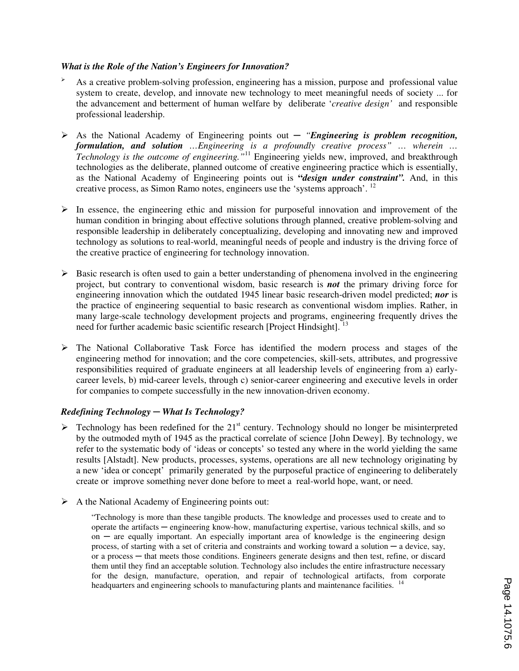#### *What is the Role of the Nation's Engineers for Innovation?*

- <sup>Ø</sup> As a creative problem-solving profession, engineering has a mission, purpose and professional value system to create, develop, and innovate new technology to meet meaningful needs of society ... for the advancement and betterment of human welfare by deliberate '*creative design'* and responsible professional leadership.
- Ø As the National Academy of Engineering points out ─ *"Engineering is problem recognition, formulation, and solution …Engineering is a profoundly creative process" … wherein … Technology is the outcome of engineering."*<sup>11</sup> Engineering yields new, improved, and breakthrough technologies as the deliberate, planned outcome of creative engineering practice which is essentially, as the National Academy of Engineering points out is **"***design under constraint".* And, in this creative process, as Simon Ramo notes, engineers use the 'systems approach'. <sup>12</sup>
- $\triangleright$  In essence, the engineering ethic and mission for purposeful innovation and improvement of the human condition in bringing about effective solutions through planned, creative problem-solving and responsible leadership in deliberately conceptualizing, developing and innovating new and improved technology as solutions to real-world, meaningful needs of people and industry is the driving force of the creative practice of engineering for technology innovation.
- $\triangleright$  Basic research is often used to gain a better understanding of phenomena involved in the engineering project, but contrary to conventional wisdom, basic research is *not* the primary driving force for engineering innovation which the outdated 1945 linear basic research-driven model predicted; *nor* is the practice of engineering sequential to basic research as conventional wisdom implies. Rather, in many large-scale technology development projects and programs, engineering frequently drives the need for further academic basic scientific research [Project Hindsight].<sup>13</sup>
- Ø The National Collaborative Task Force has identified the modern process and stages of the engineering method for innovation; and the core competencies, skill-sets, attributes, and progressive responsibilities required of graduate engineers at all leadership levels of engineering from a) earlycareer levels, b) mid-career levels, through c) senior-career engineering and executive levels in order for companies to compete successfully in the new innovation-driven economy.

## *Redefining Technology ─ What Is Technology?*

- $\triangleright$  Technology has been redefined for the 21<sup>st</sup> century. Technology should no longer be misinterpreted by the outmoded myth of 1945 as the practical correlate of science [John Dewey]. By technology, we refer to the systematic body of 'ideas or concepts' so tested any where in the world yielding the same results [Alstadt]. New products, processes, systems, operations are all new technology originating by a new 'idea or concept' primarily generated by the purposeful practice of engineering to deliberately create or improve something never done before to meet a real-world hope, want, or need.
- $\triangleright$  A the National Academy of Engineering points out:

"Technology is more than these tangible products. The knowledge and processes used to create and to operate the artifacts ─ engineering know-how, manufacturing expertise, various technical skills, and so on  $-$  are equally important. An especially important area of knowledge is the engineering design process, of starting with a set of criteria and constraints and working toward a solution ─ a device, say, or a process ─ that meets those conditions. Engineers generate designs and then test, refine, or discard them until they find an acceptable solution. Technology also includes the entire infrastructure necessary for the design, manufacture, operation, and repair of technological artifacts, from corporate headquarters and engineering schools to manufacturing plants and maintenance facilities. <sup>14</sup>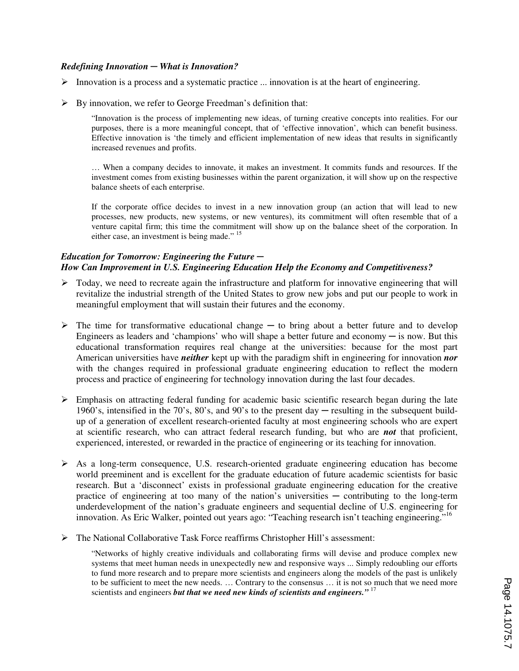#### *Redefining Innovation ─ What is Innovation?*

- $\triangleright$  Innovation is a process and a systematic practice ... innovation is at the heart of engineering.
- $\triangleright$  By innovation, we refer to George Freedman's definition that:

"Innovation is the process of implementing new ideas, of turning creative concepts into realities. For our purposes, there is a more meaningful concept, that of 'effective innovation', which can benefit business. Effective innovation is 'the timely and efficient implementation of new ideas that results in significantly increased revenues and profits.

… When a company decides to innovate, it makes an investment. It commits funds and resources. If the investment comes from existing businesses within the parent organization, it will show up on the respective balance sheets of each enterprise.

If the corporate office decides to invest in a new innovation group (an action that will lead to new processes, new products, new systems, or new ventures), its commitment will often resemble that of a venture capital firm; this time the commitment will show up on the balance sheet of the corporation. In either case, an investment is being made." <sup>15</sup>

## *Education for Tomorrow: Engineering the Future ─ How Can Improvement in U.S. Engineering Education Help the Economy and Competitiveness?*

- $\triangleright$  Today, we need to recreate again the infrastructure and platform for innovative engineering that will revitalize the industrial strength of the United States to grow new jobs and put our people to work in meaningful employment that will sustain their futures and the economy.
- $\triangleright$  The time for transformative educational change to bring about a better future and to develop Engineers as leaders and 'champions' who will shape a better future and economy  $-$  is now. But this educational transformation requires real change at the universities: because for the most part American universities have *neither* kept up with the paradigm shift in engineering for innovation *nor* with the changes required in professional graduate engineering education to reflect the modern process and practice of engineering for technology innovation during the last four decades.
- $\triangleright$  Emphasis on attracting federal funding for academic basic scientific research began during the late 1960's, intensified in the 70's, 80's, and 90's to the present day ─ resulting in the subsequent buildup of a generation of excellent research-oriented faculty at most engineering schools who are expert at scientific research, who can attract federal research funding, but who are *not* that proficient, experienced, interested, or rewarded in the practice of engineering or its teaching for innovation.
- $\triangleright$  As a long-term consequence, U.S. research-oriented graduate engineering education has become world preeminent and is excellent for the graduate education of future academic scientists for basic research. But a 'disconnect' exists in professional graduate engineering education for the creative practice of engineering at too many of the nation's universities  $-$  contributing to the long-term underdevelopment of the nation's graduate engineers and sequential decline of U.S. engineering for innovation. As Eric Walker, pointed out years ago: "Teaching research isn't teaching engineering."<sup>16</sup>
- $\triangleright$  The National Collaborative Task Force reaffirms Christopher Hill's assessment:

"Networks of highly creative individuals and collaborating firms will devise and produce complex new systems that meet human needs in unexpectedly new and responsive ways ... Simply redoubling our efforts to fund more research and to prepare more scientists and engineers along the models of the past is unlikely to be sufficient to meet the new needs. … Contrary to the consensus … it is not so much that we need more scientists and engineers *but that we need new kinds of scientists and engineers."* <sup>17</sup>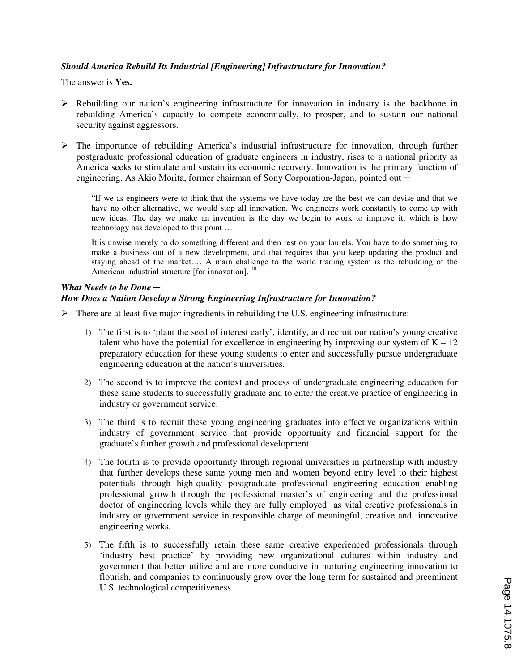## *Should America Rebuild Its Industrial [Engineering] Infrastructure for Innovation?*

The answer is **Yes.**

- $\triangleright$  Rebuilding our nation's engineering infrastructure for innovation in industry is the backbone in rebuilding America's capacity to compete economically, to prosper, and to sustain our national security against aggressors.
- $\triangleright$  The importance of rebuilding America's industrial infrastructure for innovation, through further postgraduate professional education of graduate engineers in industry, rises to a national priority as America seeks to stimulate and sustain its economic recovery. Innovation is the primary function of engineering. As Akio Morita, former chairman of Sony Corporation-Japan, pointed out  $-$

"If we as engineers were to think that the systems we have today are the best we can devise and that we have no other alternative, we would stop all innovation. We engineers work constantly to come up with new ideas. The day we make an invention is the day we begin to work to improve it, which is how technology has developed to this point …

It is unwise merely to do something different and then rest on your laurels. You have to do something to make a business out of a new development, and that requires that you keep updating the product and staying ahead of the market.… A main challenge to the world trading system is the rebuilding of the American industrial structure [for innovation]. <sup>18</sup>

#### *What Needs to be Done ─ How Does a Nation Develop a Strong Engineering Infrastructure for Innovation?*

- $\triangleright$  There are at least five major ingredients in rebuilding the U.S. engineering infrastructure:
	- 1) The first is to 'plant the seed of interest early', identify, and recruit our nation's young creative talent who have the potential for excellence in engineering by improving our system of  $K - 12$ preparatory education for these young students to enter and successfully pursue undergraduate engineering education at the nation's universities.
	- 2) The second is to improve the context and process of undergraduate engineering education for these same students to successfully graduate and to enter the creative practice of engineering in industry or government service.
	- 3) The third is to recruit these young engineering graduates into effective organizations within industry of government service that provide opportunity and financial support for the graduate's further growth and professional development.
	- 4) The fourth is to provide opportunity through regional universities in partnership with industry that further develops these same young men and women beyond entry level to their highest potentials through high-quality postgraduate professional engineering education enabling professional growth through the professional master's of engineering and the professional doctor of engineering levels while they are fully employed as vital creative professionals in industry or government service in responsible charge of meaningful, creative and innovative engineering works.
	- 5) The fifth is to successfully retain these same creative experienced professionals through 'industry best practice' by providing new organizational cultures within industry and government that better utilize and are more conducive in nurturing engineering innovation to flourish, and companies to continuously grow over the long term for sustained and preeminent U.S. technological competitiveness.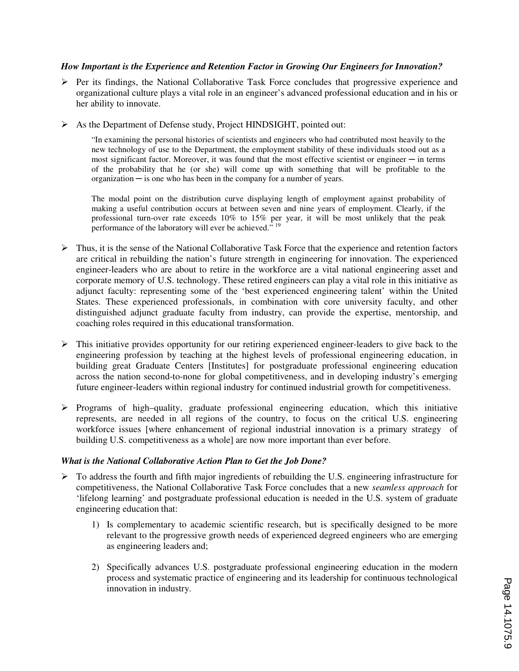## *How Important is the Experience and Retention Factor in Growing Our Engineers for Innovation?*

- $\triangleright$  Per its findings, the National Collaborative Task Force concludes that progressive experience and organizational culture plays a vital role in an engineer's advanced professional education and in his or her ability to innovate.
- Ø As the Department of Defense study, Project HINDSIGHT, pointed out:

"In examining the personal histories of scientists and engineers who had contributed most heavily to the new technology of use to the Department, the employment stability of these individuals stood out as a most significant factor. Moreover, it was found that the most effective scientist or engineer — in terms of the probability that he (or she) will come up with something that will be profitable to the  $organization - is one who has been in the company for a number of years.$ 

The modal point on the distribution curve displaying length of employment against probability of making a useful contribution occurs at between seven and nine years of employment. Clearly, if the professional turn-over rate exceeds 10% to 15% per year, it will be most unlikely that the peak performance of the laboratory will ever be achieved."<sup>19</sup>

- $\triangleright$  Thus, it is the sense of the National Collaborative Task Force that the experience and retention factors are critical in rebuilding the nation's future strength in engineering for innovation. The experienced engineer-leaders who are about to retire in the workforce are a vital national engineering asset and corporate memory of U.S. technology. These retired engineers can play a vital role in this initiative as adjunct faculty: representing some of the 'best experienced engineering talent' within the United States. These experienced professionals, in combination with core university faculty, and other distinguished adjunct graduate faculty from industry, can provide the expertise, mentorship, and coaching roles required in this educational transformation.
- $\triangleright$  This initiative provides opportunity for our retiring experienced engineer-leaders to give back to the engineering profession by teaching at the highest levels of professional engineering education, in building great Graduate Centers [Institutes] for postgraduate professional engineering education across the nation second-to-none for global competitiveness, and in developing industry's emerging future engineer-leaders within regional industry for continued industrial growth for competitiveness.
- Ø Programs of high–quality, graduate professional engineering education, which this initiative represents, are needed in all regions of the country, to focus on the critical U.S. engineering workforce issues [where enhancement of regional industrial innovation is a primary strategy of building U.S. competitiveness as a whole] are now more important than ever before.

## *What is the National Collaborative Action Plan to Get the Job Done?*

- $\triangleright$  To address the fourth and fifth major ingredients of rebuilding the U.S. engineering infrastructure for competitiveness, the National Collaborative Task Force concludes that a new *seamless approach* for 'lifelong learning' and postgraduate professional education is needed in the U.S. system of graduate engineering education that:
	- 1) Is complementary to academic scientific research, but is specifically designed to be more relevant to the progressive growth needs of experienced degreed engineers who are emerging as engineering leaders and;
	- 2) Specifically advances U.S. postgraduate professional engineering education in the modern process and systematic practice of engineering and its leadership for continuous technological innovation in industry.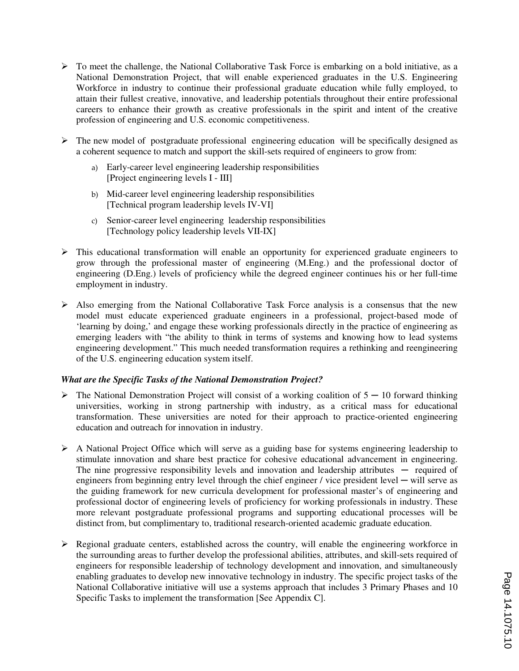- $\triangleright$  To meet the challenge, the National Collaborative Task Force is embarking on a bold initiative, as a National Demonstration Project, that will enable experienced graduates in the U.S. Engineering Workforce in industry to continue their professional graduate education while fully employed, to attain their fullest creative, innovative, and leadership potentials throughout their entire professional careers to enhance their growth as creative professionals in the spirit and intent of the creative profession of engineering and U.S. economic competitiveness.
- $\triangleright$  The new model of postgraduate professional engineering education will be specifically designed as a coherent sequence to match and support the skill-sets required of engineers to grow from:
	- a) Early-career level engineering leadership responsibilities [Project engineering levels I - III]
	- b) Mid-career level engineering leadership responsibilities [Technical program leadership levels IV-VI]
	- c) Senior-career level engineering leadership responsibilities [Technology policy leadership levels VII-IX]
- $\triangleright$  This educational transformation will enable an opportunity for experienced graduate engineers to grow through the professional master of engineering (M.Eng.) and the professional doctor of engineering (D.Eng.) levels of proficiency while the degreed engineer continues his or her full-time employment in industry.
- $\triangleright$  Also emerging from the National Collaborative Task Force analysis is a consensus that the new model must educate experienced graduate engineers in a professional, project-based mode of 'learning by doing,' and engage these working professionals directly in the practice of engineering as emerging leaders with "the ability to think in terms of systems and knowing how to lead systems engineering development." This much needed transformation requires a rethinking and reengineering of the U.S. engineering education system itself.

## *What are the Specific Tasks of the National Demonstration Project?*

- $\triangleright$  The National Demonstration Project will consist of a working coalition of 5 10 forward thinking universities, working in strong partnership with industry, as a critical mass for educational transformation. These universities are noted for their approach to practice-oriented engineering education and outreach for innovation in industry.
- Ø A National Project Office which will serve as a guiding base for systems engineering leadership to stimulate innovation and share best practice for cohesive educational advancement in engineering. The nine progressive responsibility levels and innovation and leadership attributes  $-$  required of engineers from beginning entry level through the chief engineer  $\ell$  vice president level — will serve as the guiding framework for new curricula development for professional master's of engineering and professional doctor of engineering levels of proficiency for working professionals in industry. These more relevant postgraduate professional programs and supporting educational processes will be distinct from, but complimentary to, traditional research-oriented academic graduate education.
- $\triangleright$  Regional graduate centers, established across the country, will enable the engineering workforce in the surrounding areas to further develop the professional abilities, attributes, and skill-sets required of engineers for responsible leadership of technology development and innovation, and simultaneously enabling graduates to develop new innovative technology in industry. The specific project tasks of the National Collaborative initiative will use a systems approach that includes 3 Primary Phases and 10 Specific Tasks to implement the transformation [See Appendix C].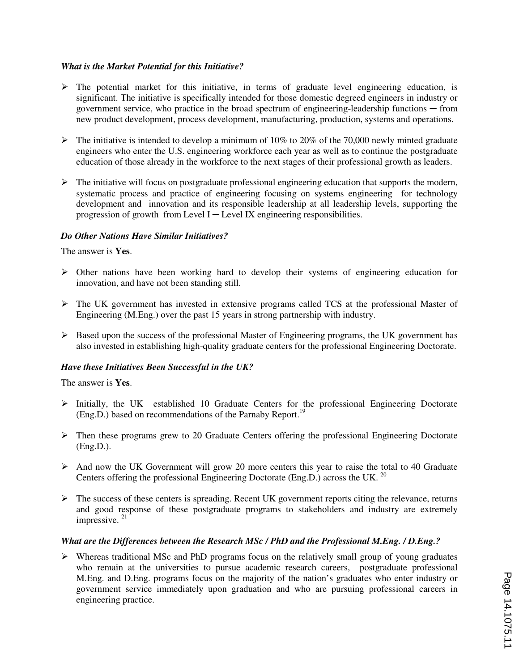## *What is the Market Potential for this Initiative?*

- $\triangleright$  The potential market for this initiative, in terms of graduate level engineering education, is significant. The initiative is specifically intended for those domestic degreed engineers in industry or government service, who practice in the broad spectrum of engineering-leadership functions ─ from new product development, process development, manufacturing, production, systems and operations.
- $\triangleright$  The initiative is intended to develop a minimum of 10% to 20% of the 70,000 newly minted graduate engineers who enter the U.S. engineering workforce each year as well as to continue the postgraduate education of those already in the workforce to the next stages of their professional growth as leaders.
- $\triangleright$  The initiative will focus on postgraduate professional engineering education that supports the modern, systematic process and practice of engineering focusing on systems engineering for technology development and innovation and its responsible leadership at all leadership levels, supporting the progression of growth from Level I $-$ Level IX engineering responsibilities.

## *Do Other Nations Have Similar Initiatives?*

The answer is **Yes**.

- $\triangleright$  Other nations have been working hard to develop their systems of engineering education for innovation, and have not been standing still.
- $\triangleright$  The UK government has invested in extensive programs called TCS at the professional Master of Engineering (M.Eng.) over the past 15 years in strong partnership with industry.
- $\triangleright$  Based upon the success of the professional Master of Engineering programs, the UK government has also invested in establishing high-quality graduate centers for the professional Engineering Doctorate.

## *Have these Initiatives Been Successful in the UK?*

The answer is **Yes**.

- Ø Initially, the UK established 10 Graduate Centers for the professional Engineering Doctorate (Eng.D.) based on recommendations of the Parnaby Report.<sup>19</sup>
- $\triangleright$  Then these programs grew to 20 Graduate Centers offering the professional Engineering Doctorate (Eng.D.).
- $\triangleright$  And now the UK Government will grow 20 more centers this year to raise the total to 40 Graduate Centers offering the professional Engineering Doctorate (Eng.D.) across the UK. <sup>20</sup>
- $\triangleright$  The success of these centers is spreading. Recent UK government reports citing the relevance, returns and good response of these postgraduate programs to stakeholders and industry are extremely impressive.<sup>21</sup>

## *What are the Differences between the Research MSc / PhD and the Professional M.Eng. / D.Eng.?*

 $\triangleright$  Whereas traditional MSc and PhD programs focus on the relatively small group of young graduates who remain at the universities to pursue academic research careers, postgraduate professional M.Eng. and D.Eng. programs focus on the majority of the nation's graduates who enter industry or government service immediately upon graduation and who are pursuing professional careers in engineering practice.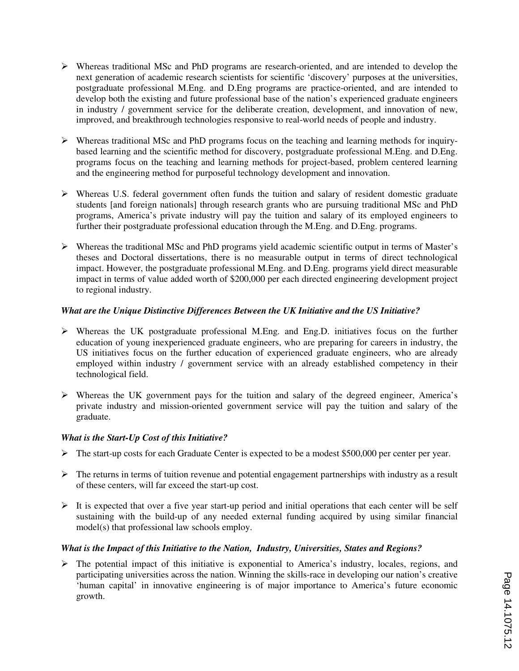- $\triangleright$  Whereas traditional MSc and PhD programs are research-oriented, and are intended to develop the next generation of academic research scientists for scientific 'discovery' purposes at the universities, postgraduate professional M.Eng. and D.Eng programs are practice-oriented, and are intended to develop both the existing and future professional base of the nation's experienced graduate engineers in industry / government service for the deliberate creation, development, and innovation of new, improved, and breakthrough technologies responsive to real-world needs of people and industry.
- $\triangleright$  Whereas traditional MSc and PhD programs focus on the teaching and learning methods for inquirybased learning and the scientific method for discovery, postgraduate professional M.Eng. and D.Eng. programs focus on the teaching and learning methods for project-based, problem centered learning and the engineering method for purposeful technology development and innovation.
- $\triangleright$  Whereas U.S. federal government often funds the tuition and salary of resident domestic graduate students [and foreign nationals] through research grants who are pursuing traditional MSc and PhD programs, America's private industry will pay the tuition and salary of its employed engineers to further their postgraduate professional education through the M.Eng. and D.Eng. programs.
- Ø Whereas the traditional MSc and PhD programs yield academic scientific output in terms of Master's theses and Doctoral dissertations, there is no measurable output in terms of direct technological impact. However, the postgraduate professional M.Eng. and D.Eng. programs yield direct measurable impact in terms of value added worth of \$200,000 per each directed engineering development project to regional industry.

## *What are the Unique Distinctive Differences Between the UK Initiative and the US Initiative?*

- $\triangleright$  Whereas the UK postgraduate professional M.Eng. and Eng.D. initiatives focus on the further education of young inexperienced graduate engineers, who are preparing for careers in industry, the US initiatives focus on the further education of experienced graduate engineers, who are already employed within industry / government service with an already established competency in their technological field.
- $\triangleright$  Whereas the UK government pays for the tuition and salary of the degreed engineer, America's private industry and mission-oriented government service will pay the tuition and salary of the graduate.

## *What is the Start-Up Cost of this Initiative?*

- $\triangleright$  The start-up costs for each Graduate Center is expected to be a modest \$500,000 per center per year.
- $\triangleright$  The returns in terms of tuition revenue and potential engagement partnerships with industry as a result of these centers, will far exceed the start-up cost.
- $\triangleright$  It is expected that over a five year start-up period and initial operations that each center will be self sustaining with the build-up of any needed external funding acquired by using similar financial model(s) that professional law schools employ.

## *What is the Impact of this Initiative to the Nation, Industry, Universities, States and Regions?*

The potential impact of this initiative is exponential to America's industry, locales, regions, and participating universities across the nation. Winning the skills-race in developing our nation's creative 'human capital' in innovative engineering is of major importance to America's future economic growth.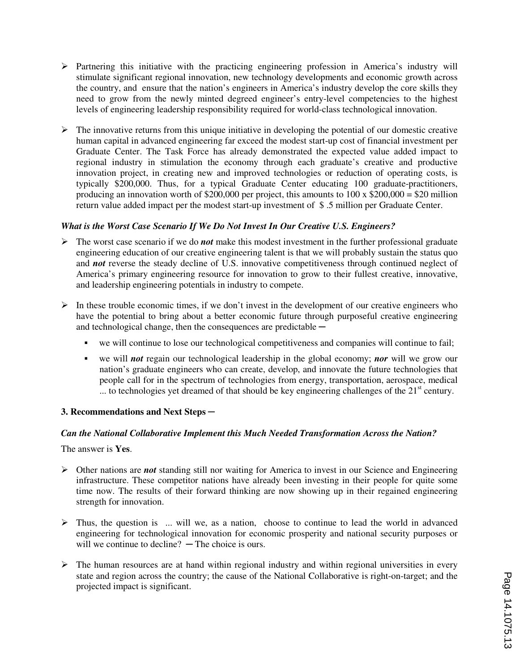- $\triangleright$  Partnering this initiative with the practicing engineering profession in America's industry will stimulate significant regional innovation, new technology developments and economic growth across the country, and ensure that the nation's engineers in America's industry develop the core skills they need to grow from the newly minted degreed engineer's entry-level competencies to the highest levels of engineering leadership responsibility required for world-class technological innovation.
- $\triangleright$  The innovative returns from this unique initiative in developing the potential of our domestic creative human capital in advanced engineering far exceed the modest start-up cost of financial investment per Graduate Center. The Task Force has already demonstrated the expected value added impact to regional industry in stimulation the economy through each graduate's creative and productive innovation project, in creating new and improved technologies or reduction of operating costs, is typically \$200,000. Thus, for a typical Graduate Center educating 100 graduate-practitioners, producing an innovation worth of \$200,000 per project, this amounts to  $100 \times $200,000 = $20$  million return value added impact per the modest start-up investment of \$ .5 million per Graduate Center.

## *What is the Worst Case Scenario If We Do Not Invest In Our Creative U.S. Engineers?*

- $\triangleright$  The worst case scenario if we do *not* make this modest investment in the further professional graduate engineering education of our creative engineering talent is that we will probably sustain the status quo and *not* reverse the steady decline of U.S. innovative competitiveness through continued neglect of America's primary engineering resource for innovation to grow to their fullest creative, innovative, and leadership engineering potentials in industry to compete.
- $\triangleright$  In these trouble economic times, if we don't invest in the development of our creative engineers who have the potential to bring about a better economic future through purposeful creative engineering and technological change, then the consequences are predictable  $$ 
	- we will continue to lose our technological competitiveness and companies will continue to fail;
	- we will *not* regain our technological leadership in the global economy; *nor* will we grow our nation's graduate engineers who can create, develop, and innovate the future technologies that people call for in the spectrum of technologies from energy, transportation, aerospace, medical  $\ldots$  to technologies yet dreamed of that should be key engineering challenges of the  $21<sup>st</sup>$  century.

## **3. Recommendations and Next Steps ─**

## *Can the National Collaborative Implement this Much Needed Transformation Across the Nation?*

The answer is **Yes**.

- $\triangleright$  Other nations are **not** standing still nor waiting for America to invest in our Science and Engineering infrastructure. These competitor nations have already been investing in their people for quite some time now. The results of their forward thinking are now showing up in their regained engineering strength for innovation.
- $\triangleright$  Thus, the question is ... will we, as a nation, choose to continue to lead the world in advanced engineering for technological innovation for economic prosperity and national security purposes or will we continue to decline?  $-$  The choice is ours.
- $\triangleright$  The human resources are at hand within regional industry and within regional universities in every state and region across the country; the cause of the National Collaborative is right-on-target; and the projected impact is significant.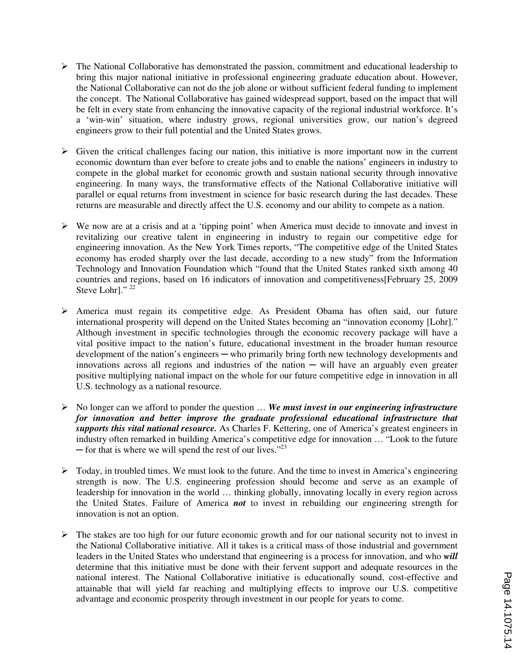- $\triangleright$  The National Collaborative has demonstrated the passion, commitment and educational leadership to bring this major national initiative in professional engineering graduate education about. However, the National Collaborative can not do the job alone or without sufficient federal funding to implement the concept. The National Collaborative has gained widespread support, based on the impact that will be felt in every state from enhancing the innovative capacity of the regional industrial workforce. It's a 'win-win' situation, where industry grows, regional universities grow, our nation's degreed engineers grow to their full potential and the United States grows.
- $\triangleright$  Given the critical challenges facing our nation, this initiative is more important now in the current economic downturn than ever before to create jobs and to enable the nations' engineers in industry to compete in the global market for economic growth and sustain national security through innovative engineering. In many ways, the transformative effects of the National Collaborative initiative will parallel or equal returns from investment in science for basic research during the last decades. These returns are measurable and directly affect the U.S. economy and our ability to compete as a nation.
- $\triangleright$  We now are at a crisis and at a 'tipping point' when America must decide to innovate and invest in revitalizing our creative talent in engineering in industry to regain our competitive edge for engineering innovation. As the New York Times reports, "The competitive edge of the United States economy has eroded sharply over the last decade, according to a new study" from the Information Technology and Innovation Foundation which "found that the United States ranked sixth among 40 countries and regions, based on 16 indicators of innovation and competitiveness[February 25, 2009 Steve Lohr]." $^{22}$
- Ø America must regain its competitive edge. As President Obama has often said, our future international prosperity will depend on the United States becoming an "innovation economy [Lohr]." Although investment in specific technologies through the economic recovery package will have a vital positive impact to the nation's future, educational investment in the broader human resource development of the nation's engineers — who primarily bring forth new technology developments and innovations across all regions and industries of the nation  $-$  will have an arguably even greater positive multiplying national impact on the whole for our future competitive edge in innovation in all U.S. technology as a national resource.
- Ø No longer can we afford to ponder the question … *We must invest in our engineering infrastructure for innovation and better improve the graduate professional educational infrastructure that supports this vital national resource.* As Charles F. Kettering, one of America's greatest engineers in industry often remarked in building America's competitive edge for innovation … "Look to the future  $-$  for that is where we will spend the rest of our lives."<sup>23</sup>
- $\triangleright$  Today, in troubled times. We must look to the future. And the time to invest in America's engineering strength is now. The U.S. engineering profession should become and serve as an example of leadership for innovation in the world … thinking globally, innovating locally in every region across the United States. Failure of America *not* to invest in rebuilding our engineering strength for innovation is not an option.
- $\triangleright$  The stakes are too high for our future economic growth and for our national security not to invest in the National Collaborative initiative. All it takes is a critical mass of those industrial and government leaders in the United States who understand that engineering is a process for innovation, and who *will*  determine that this initiative must be done with their fervent support and adequate resources in the national interest. The National Collaborative initiative is educationally sound, cost-effective and attainable that will yield far reaching and multiplying effects to improve our U.S. competitive advantage and economic prosperity through investment in our people for years to come.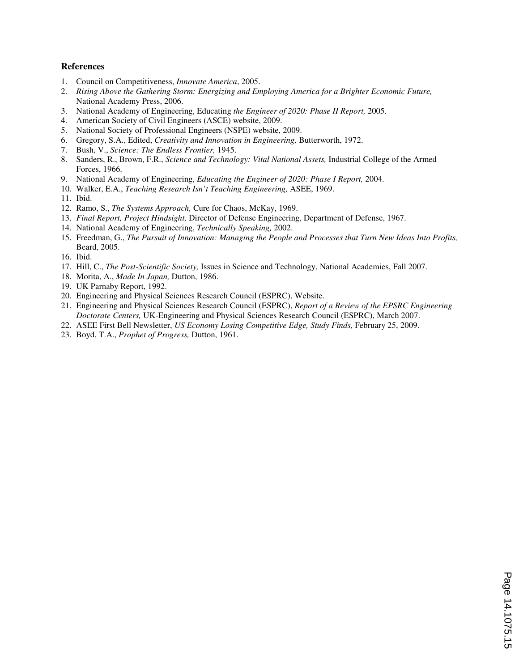#### **References**

- 1. Council on Competitiveness, *Innovate America*, 2005.
- 2. *Rising Above the Gathering Storm: Energizing and Employing America for a Brighter Economic Future,*  National Academy Press, 2006.
- 3. National Academy of Engineering, Educating *the Engineer of 2020: Phase II Report,* 2005.
- 4. American Society of Civil Engineers (ASCE) website, 2009.
- 5. National Society of Professional Engineers (NSPE) website, 2009.
- 6. Gregory, S.A., Edited, *Creativity and Innovation in Engineering,* Butterworth, 1972.
- 7. Bush, V., *Science: The Endless Frontier,* 1945.
- 8. Sanders, R., Brown, F.R., *Science and Technology: Vital National Assets,* Industrial College of the Armed Forces, 1966.
- 9. National Academy of Engineering, *Educating the Engineer of 2020: Phase I Report,* 2004.
- 10. Walker, E.A., *Teaching Research Isn't Teaching Engineering,* ASEE, 1969.
- 11. Ibid.
- 12. Ramo, S., *The Systems Approach,* Cure for Chaos, McKay, 1969.
- 13. *Final Report, Project Hindsight,* Director of Defense Engineering, Department of Defense, 1967.
- 14. National Academy of Engineering, *Technically Speaking,* 2002.
- 15. Freedman, G., *The Pursuit of Innovation: Managing the People and Processes that Turn New Ideas Into Profits,* Beard, 2005.
- 16. Ibid.
- 17. Hill, C., *The Post-Scientific Society,* Issues in Science and Technology, National Academies, Fall 2007.
- 18. Morita, A., *Made In Japan,* Dutton, 1986.
- 19. UK Parnaby Report, 1992.
- 20. Engineering and Physical Sciences Research Council (ESPRC), Website.
- 21. Engineering and Physical Sciences Research Council (ESPRC), *Report of a Review of the EPSRC Engineering Doctorate Centers,* UK-Engineering and Physical Sciences Research Council (ESPRC), March 2007.
- 22. ASEE First Bell Newsletter, *US Economy Losing Competitive Edge, Study Finds,* February 25, 2009.
- 23. Boyd, T.A., *Prophet of Progress,* Dutton, 1961.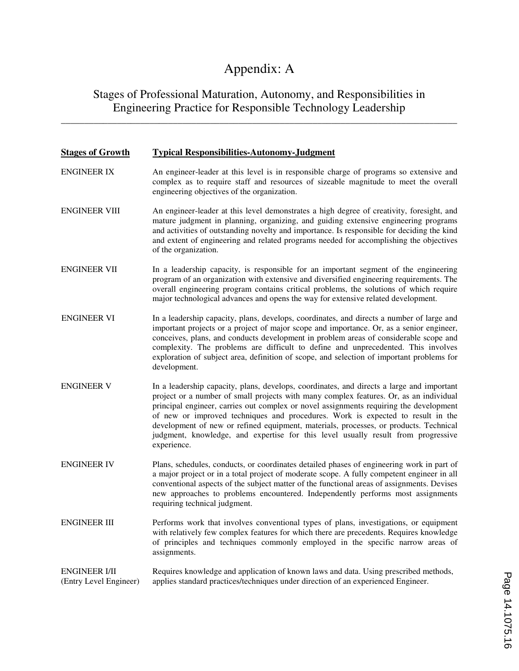# Appendix: A

## Stages of Professional Maturation, Autonomy, and Responsibilities in Engineering Practice for Responsible Technology Leadership

\_\_\_\_\_\_\_\_\_\_\_\_\_\_\_\_\_\_\_\_\_\_\_\_\_\_\_\_\_\_\_\_\_\_\_\_\_\_\_\_\_\_\_\_\_\_\_\_\_\_\_\_\_\_\_\_\_\_\_\_\_\_\_\_\_\_\_\_\_\_\_\_\_\_\_\_\_\_\_\_\_\_\_\_\_

## **Stages of Growth Typical Responsibilities-Autonomy-Judgment** ENGINEER IX An engineer-leader at this level is in responsible charge of programs so extensive and complex as to require staff and resources of sizeable magnitude to meet the overall engineering objectives of the organization. ENGINEER VIII An engineer-leader at this level demonstrates a high degree of creativity, foresight, and mature judgment in planning, organizing, and guiding extensive engineering programs and activities of outstanding novelty and importance. Is responsible for deciding the kind and extent of engineering and related programs needed for accomplishing the objectives of the organization. ENGINEER VII In a leadership capacity, is responsible for an important segment of the engineering program of an organization with extensive and diversified engineering requirements. The overall engineering program contains critical problems, the solutions of which require major technological advances and opens the way for extensive related development. ENGINEER VI In a leadership capacity, plans, develops, coordinates, and directs a number of large and important projects or a project of major scope and importance. Or, as a senior engineer, conceives, plans, and conducts development in problem areas of considerable scope and complexity. The problems are difficult to define and unprecedented. This involves exploration of subject area, definition of scope, and selection of important problems for development. ENGINEER V In a leadership capacity, plans, develops, coordinates, and directs a large and important project or a number of small projects with many complex features. Or, as an individual principal engineer, carries out complex or novel assignments requiring the development of new or improved techniques and procedures. Work is expected to result in the development of new or refined equipment, materials, processes, or products. Technical judgment, knowledge, and expertise for this level usually result from progressive experience. ENGINEER IV Plans, schedules, conducts, or coordinates detailed phases of engineering work in part of a major project or in a total project of moderate scope. A fully competent engineer in all conventional aspects of the subject matter of the functional areas of assignments. Devises new approaches to problems encountered. Independently performs most assignments requiring technical judgment. ENGINEER III Performs work that involves conventional types of plans, investigations, or equipment with relatively few complex features for which there are precedents. Requires knowledge of principles and techniques commonly employed in the specific narrow areas of assignments. ENGINEER I/II Requires knowledge and application of known laws and data. Using prescribed methods, (Entry Level Engineer) applies standard practices/techniques under direction of an experienced Engineer.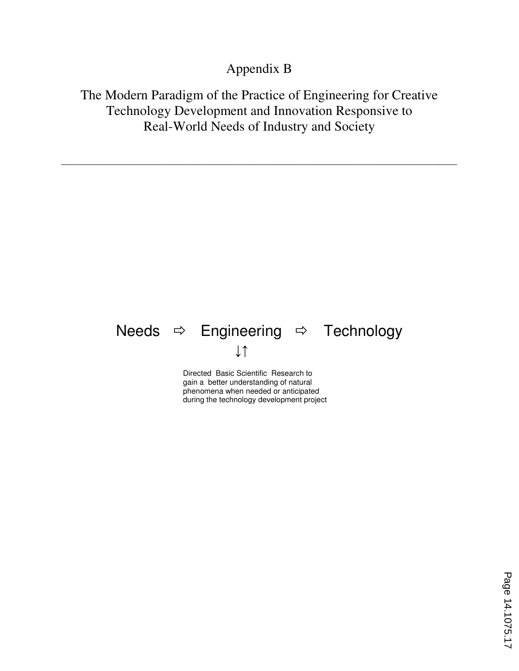## Appendix B

## The Modern Paradigm of the Practice of Engineering for Creative Technology Development and Innovation Responsive to Real-World Needs of Industry and Society

\_\_\_\_\_\_\_\_\_\_\_\_\_\_\_\_\_\_\_\_\_\_\_\_\_\_\_\_\_\_\_\_\_\_\_\_\_\_\_\_\_\_\_\_\_\_\_\_\_\_\_\_\_\_\_\_\_\_\_\_\_\_\_\_\_\_\_\_\_\_\_\_\_\_\_\_\_\_\_\_\_\_\_\_\_

# Needs  $\Rightarrow$  Engineering  $\Rightarrow$  Technology ↓↑

Directed Basic Scientific Research to gain a better understanding of natural phenomena when needed or anticipated during the technology development project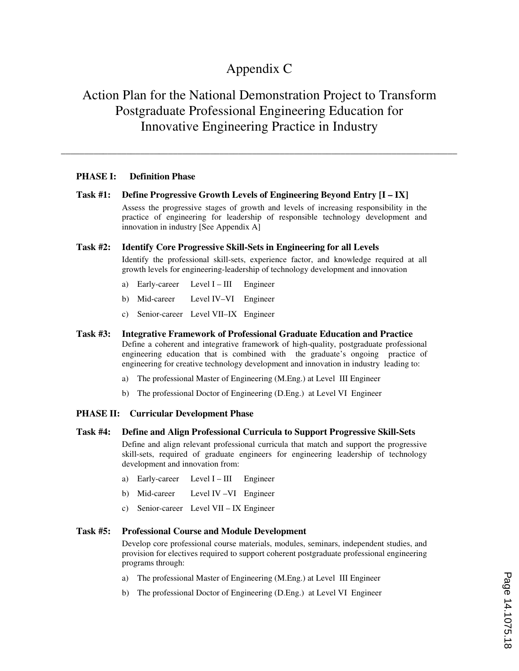## Appendix C

## Action Plan for the National Demonstration Project to Transform Postgraduate Professional Engineering Education for Innovative Engineering Practice in Industry

\_\_\_\_\_\_\_\_\_\_\_\_\_\_\_\_\_\_\_\_\_\_\_\_\_\_\_\_\_\_\_\_\_\_\_\_\_\_\_\_\_\_\_\_\_\_\_\_\_\_\_\_\_\_\_\_\_\_\_\_\_\_\_\_\_\_\_\_\_\_\_\_\_\_\_\_\_\_\_\_\_\_\_\_\_

#### **PHASE I: Definition Phase**

**Task #1: Define Progressive Growth Levels of Engineering Beyond Entry [I – IX]**  Assess the progressive stages of growth and levels of increasing responsibility in the practice of engineering for leadership of responsible technology development and innovation in industry [See Appendix A]

#### **Task #2: Identify Core Progressive Skill-Sets in Engineering for all Levels**

Identify the professional skill-sets, experience factor, and knowledge required at all growth levels for engineering-leadership of technology development and innovation

- a) Early-career Level I III Engineer
- b) Mid-career Level IV–VI Engineer
- c) Senior-career Level VII–IX Engineer
- **Task #3: Integrative Framework of Professional Graduate Education and Practice** Define a coherent and integrative framework of high-quality, postgraduate professional engineering education that is combined with the graduate's ongoing practice of engineering for creative technology development and innovation in industry leading to:
	- a) The professional Master of Engineering (M.Eng.) at Level III Engineer
	- b) The professional Doctor of Engineering (D.Eng.) at Level VI Engineer

#### **PHASE II: Curricular Development Phase**

#### **Task #4: Define and Align Professional Curricula to Support Progressive Skill-Sets**  Define and align relevant professional curricula that match and support the progressive skill-sets, required of graduate engineers for engineering leadership of technology development and innovation from:

- a) Early-career Level  $I III$  Engineer
- b) Mid-career Level IV –VI Engineer
- c) Senior-career Level VII IX Engineer

#### **Task #5: Professional Course and Module Development**

Develop core professional course materials, modules, seminars, independent studies, and provision for electives required to support coherent postgraduate professional engineering programs through:

- a) The professional Master of Engineering (M.Eng.) at Level III Engineer
- b) The professional Doctor of Engineering (D.Eng.) at Level VI Engineer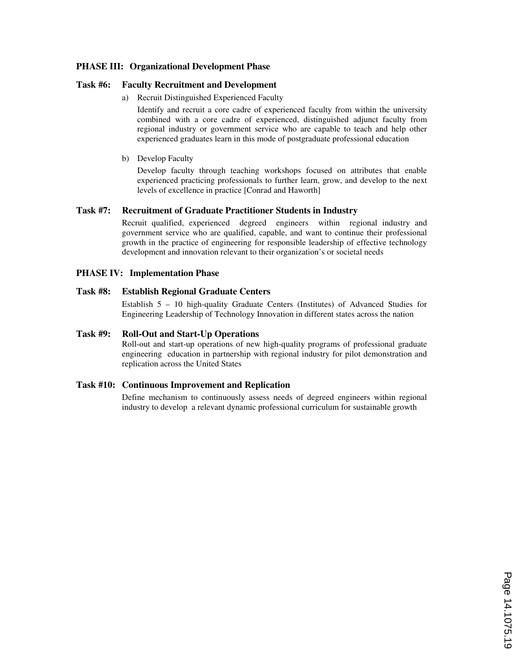#### **PHASE III: Organizational Development Phase**

#### **Task #6: Faculty Recruitment and Development**

a) Recruit Distinguished Experienced Faculty

Identify and recruit a core cadre of experienced faculty from within the university combined with a core cadre of experienced, distinguished adjunct faculty from regional industry or government service who are capable to teach and help other experienced graduates learn in this mode of postgraduate professional education

b) Develop Faculty

Develop faculty through teaching workshops focused on attributes that enable experienced practicing professionals to further learn, grow, and develop to the next levels of excellence in practice [Conrad and Haworth]

#### **Task #7: Recruitment of Graduate Practitioner Students in Industry**

Recruit qualified, experienced degreed engineers within regional industry and government service who are qualified, capable, and want to continue their professional growth in the practice of engineering for responsible leadership of effective technology development and innovation relevant to their organization's or societal needs

#### **PHASE IV: Implementation Phase**

#### **Task #8: Establish Regional Graduate Centers**

Establish 5 – 10 high-quality Graduate Centers (Institutes) of Advanced Studies for Engineering Leadership of Technology Innovation in different states across the nation

#### **Task #9: Roll-Out and Start-Up Operations**

Roll-out and start-up operations of new high-quality programs of professional graduate engineering education in partnership with regional industry for pilot demonstration and replication across the United States

#### **Task #10: Continuous Improvement and Replication**

Define mechanism to continuously assess needs of degreed engineers within regional industry to develop a relevant dynamic professional curriculum for sustainable growth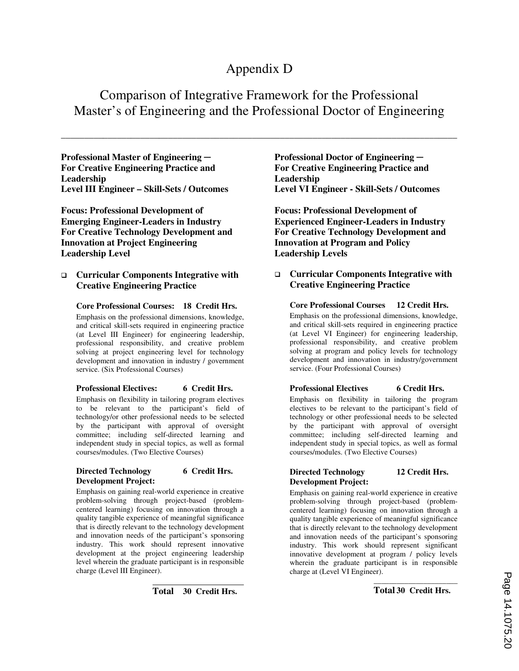## Appendix D

Comparison of Integrative Framework for the Professional Master's of Engineering and the Professional Doctor of Engineering

\_\_\_\_\_\_\_\_\_\_\_\_\_\_\_\_\_\_\_\_\_\_\_\_\_\_\_\_\_\_\_\_\_\_\_\_\_\_\_\_\_\_\_\_\_\_\_\_\_\_\_\_\_\_\_\_\_\_\_\_\_\_\_\_\_\_\_\_\_\_\_\_\_\_\_\_\_\_\_\_\_\_\_\_\_

**Professional Master of Engineering ─ For Creative Engineering Practice and Leadership Level III Engineer – Skill-Sets / Outcomes** 

**Focus: Professional Development of Emerging Engineer-Leaders in Industry For Creative Technology Development and Innovation at Project Engineering Leadership Level** 

## q **Curricular Components Integrative with Creative Engineering Practice**

#### **Core Professional Courses: 18 Credit Hrs.**

Emphasis on the professional dimensions, knowledge, and critical skill-sets required in engineering practice (at Level III Engineer) for engineering leadership, professional responsibility, and creative problem solving at project engineering level for technology development and innovation in industry / government service. (Six Professional Courses)

#### **Professional Electives: 6 Credit Hrs.**

Emphasis on flexibility in tailoring program electives to be relevant to the participant's field of technology/or other professional needs to be selected by the participant with approval of oversight committee; including self-directed learning and independent study in special topics, as well as formal courses/modules. (Two Elective Courses)

#### **Directed Technology 6 Credit Hrs. Development Project:**

Emphasis on gaining real-world experience in creative problem-solving through project-based (problemcentered learning) focusing on innovation through a quality tangible experience of meaningful significance that is directly relevant to the technology development and innovation needs of the participant's sponsoring industry. This work should represent innovative development at the project engineering leadership level wherein the graduate participant is in responsible charge (Level III Engineer).

**Professional Doctor of Engineering ─ For Creative Engineering Practice and Leadership Level VI Engineer - Skill-Sets / Outcomes** 

**Focus: Professional Development of Experienced Engineer-Leaders in Industry For Creative Technology Development and Innovation at Program and Policy Leadership Levels** 

## q **Curricular Components Integrative with Creative Engineering Practice**

**Core Professional Courses 12 Credit Hrs.**  Emphasis on the professional dimensions, knowledge, and critical skill-sets required in engineering practice (at Level VI Engineer) for engineering leadership,

professional responsibility, and creative problem solving at program and policy levels for technology development and innovation in industry/government service. (Four Professional Courses)

## **Professional Electives** 6 Credit Hrs.

Emphasis on flexibility in tailoring the program electives to be relevant to the participant's field of technology or other professional needs to be selected by the participant with approval of oversight committee; including self-directed learning and independent study in special topics, as well as formal courses/modules. (Two Elective Courses)

#### **Directed Technology 12 Credit Hrs. Development Project:**

Emphasis on gaining real-world experience in creative problem-solving through project-based (problemcentered learning) focusing on innovation through a quality tangible experience of meaningful significance that is directly relevant to the technology development and innovation needs of the participant's sponsoring industry. This work should represent significant innovative development at program / policy levels wherein the graduate participant is in responsible charge at (Level VI Engineer).

 $\overline{\phantom{a}}$  , and the contract of the contract of the contract of the contract of the contract of the contract of the contract of the contract of the contract of the contract of the contract of the contract of the contrac

**Total 30 Credit Hrs.**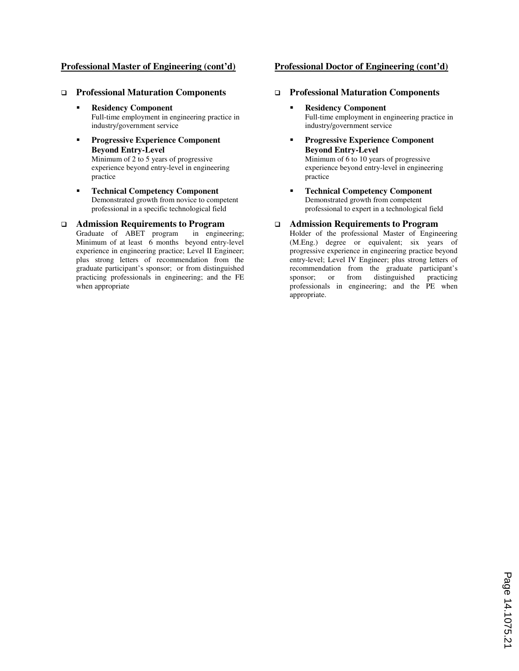#### **Professional Master of Engineering (cont'd)**

#### q **Professional Maturation Components**

- § **Residency Component**  Full-time employment in engineering practice in industry/government service
- § **Progressive Experience Component Beyond Entry-Level**  Minimum of 2 to 5 years of progressive experience beyond entry-level in engineering practice
- § **Technical Competency Component** Demonstrated growth from novice to competent professional in a specific technological field

# **Q Admission Requirements to Program**<br>**Graduate of ABET program** in engineering;

Graduate of ABET program Minimum of at least 6 months beyond entry-level experience in engineering practice; Level II Engineer; plus strong letters of recommendation from the graduate participant's sponsor; or from distinguished practicing professionals in engineering; and the FE when appropriate

#### **Professional Doctor of Engineering (cont'd)**

#### q **Professional Maturation Components**

- § **Residency Component**  Full-time employment in engineering practice in industry/government service
- § **Progressive Experience Component Beyond Entry-Level**  Minimum of 6 to 10 years of progressive experience beyond entry-level in engineering practice
- § **Technical Competency Component** Demonstrated growth from competent professional to expert in a technological field

#### q **Admission Requirements to Program**

Holder of the professional Master of Engineering (M.Eng.) degree or equivalent; six years of progressive experience in engineering practice beyond entry-level; Level IV Engineer; plus strong letters of recommendation from the graduate participant's sponsor; or from distinguished practicing professionals in engineering; and the PE when appropriate.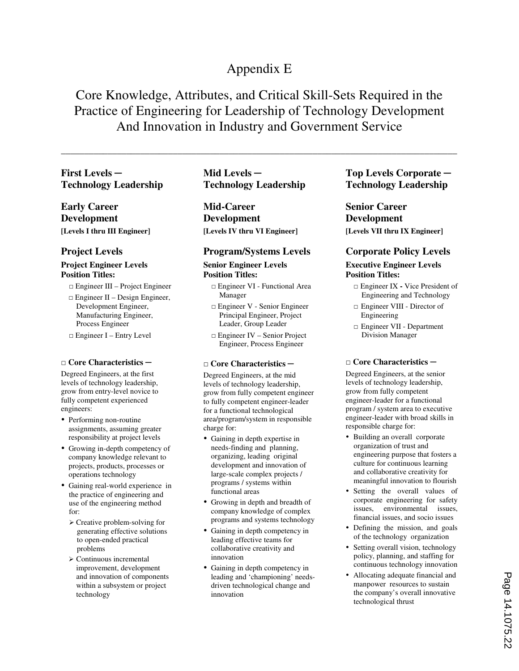## Appendix E

## Core Knowledge, Attributes, and Critical Skill-Sets Required in the Practice of Engineering for Leadership of Technology Development And Innovation in Industry and Government Service

\_\_\_\_\_\_\_\_\_\_\_\_\_\_\_\_\_\_\_\_\_\_\_\_\_\_\_\_\_\_\_\_\_\_\_\_\_\_\_\_\_\_\_\_\_\_\_\_\_\_\_\_\_\_\_\_\_\_\_\_\_\_\_\_\_\_\_\_\_\_\_\_\_\_\_\_\_\_\_\_\_\_\_\_\_

## **First Levels ─ Technology Leadership**

**Early Career Development [Levels I thru III Engineer]** 

## **Project Levels**

## **Project Engineer Levels Position Titles:**

- □ Engineer III Project Engineer
- $\Box$  Engineer II Design Engineer, Development Engineer, Manufacturing Engineer, Process Engineer
- □ Engineer I Entry Level

## **□ Core Characteristics ─**

Degreed Engineers, at the first levels of technology leadership, grow from entry-level novice to fully competent experienced engineers:

- Performing non-routine assignments, assuming greater responsibility at project levels
- Growing in-depth competency of company knowledge relevant to projects, products, processes or operations technology
- Gaining real-world experience in the practice of engineering and use of the engineering method for:
	- Ø Creative problem-solving for generating effective solutions to open-ended practical problems
	- $\triangleright$  Continuous incremental improvement, development and innovation of components within a subsystem or project technology

**Mid Levels ─ Technology Leadership** 

**Mid-Career Development [Levels IV thru VI Engineer]** 

## **Program/Systems Levels**

#### **Senior Engineer Levels Position Titles:**

- □ Engineer VI Functional Area Manager
- □ Engineer V Senior Engineer Principal Engineer, Project Leader, Group Leader
- □ Engineer IV Senior Project Engineer, Process Engineer

#### **□ Core Characteristics ─**

Degreed Engineers, at the mid levels of technology leadership, grow from fully competent engineer to fully competent engineer-leader for a functional technological area/program/system in responsible charge for:

- Gaining in depth expertise in needs-finding and planning, organizing, leading original development and innovation of large-scale complex projects / programs / systems within functional areas
- Growing in depth and breadth of company knowledge of complex programs and systems technology
- Gaining in depth competency in leading effective teams for collaborative creativity and innovation
- Gaining in depth competency in leading and 'championing' needsdriven technological change and innovation

## **Top Levels Corporate ─ Technology Leadership**

**Senior Career Development [Levels VII thru IX Engineer]**

## **Corporate Policy Levels**

## **Executive Engineer Levels Position Titles:**

- □ Engineer IXVice President of Engineering and Technology
- □ Engineer VIII Director of Engineering
- □ Engineer VII Department Division Manager

## **□ Core Characteristics ─**

Degreed Engineers, at the senior levels of technology leadership, grow from fully competent engineer-leader for a functional program / system area to executive engineer-leader with broad skills in responsible charge for:

- Building an overall corporate organization of trust and engineering purpose that fosters a culture for continuous learning and collaborative creativity for meaningful innovation to flourish
- Setting the overall values of corporate engineering for safety issues, environmental issues, financial issues, and socio issues
- Defining the mission, and goals of the technology organization
- Setting overall vision, technology policy, planning, and staffing for continuous technology innovation
- Allocating adequate financial and manpower resources to sustain the company's overall innovative technological thrust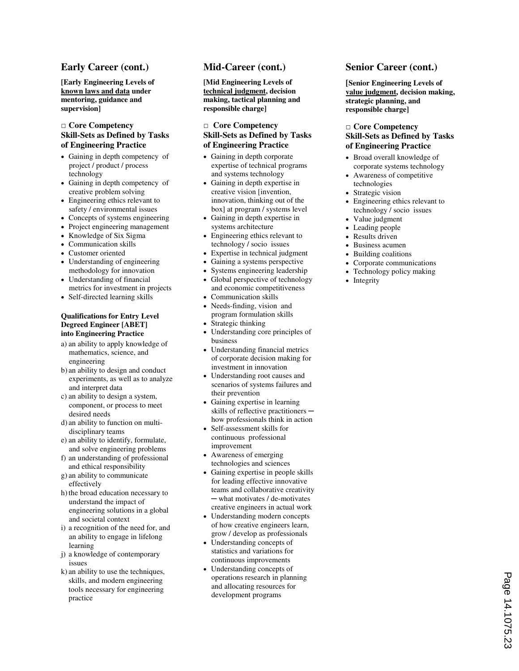## **Early Career (cont.)**

**[Early Engineering Levels of known laws and data under mentoring, guidance and supervision]** 

#### **□ Core Competency Skill-Sets as Defined by Tasks of Engineering Practice**

- Gaining in depth competency of project / product / process technology
- Gaining in depth competency of creative problem solving
- Engineering ethics relevant to safety / environmental issues
- Concepts of systems engineering
- Project engineering management
- Knowledge of Six Sigma
- Communication skills
- Customer oriented
- Understanding of engineering methodology for innovation
- Understanding of financial metrics for investment in projects
- Self-directed learning skills

#### **Qualifications for Entry Level Degreed Engineer [ABET] into Engineering Practice**

- a) an ability to apply knowledge of mathematics, science, and engineering
- b) an ability to design and conduct experiments, as well as to analyze and interpret data
- c) an ability to design a system, component, or process to meet desired needs
- d) an ability to function on multidisciplinary teams
- e) an ability to identify, formulate, and solve engineering problems
- f) an understanding of professional and ethical responsibility
- g) an ability to communicate effectively
- h) the broad education necessary to understand the impact of engineering solutions in a global and societal context
- i) a recognition of the need for, and an ability to engage in lifelong learning
- j) a knowledge of contemporary issues
- k) an ability to use the techniques, skills, and modern engineering tools necessary for engineering practice

## **Mid-Career (cont.)**

**[Mid Engineering Levels of technical judgment, decision making, tactical planning and responsible charge]** 

#### **□ Core Competency Skill-Sets as Defined by Tasks of Engineering Practice**

- Gaining in depth corporate expertise of technical programs and systems technology
- Gaining in depth expertise in creative vision [invention, innovation, thinking out of the box] at program / systems level
- ≠ Gaining in depth expertise in systems architecture
- Engineering ethics relevant to technology / socio issues
- Expertise in technical judgment
- Gaining a systems perspective
- Systems engineering leadership
- Global perspective of technology and economic competitiveness
- Communication skills
- Needs-finding, vision and program formulation skills Strategic thinking
- 
- Understanding core principles of business
- Understanding financial metrics of corporate decision making for investment in innovation
- Understanding root causes and scenarios of systems failures and their prevention
- Gaining expertise in learning skills of reflective practitioners how professionals think in action
- ≠ Self-assessment skills for continuous professional improvement
- Awareness of emerging technologies and sciences
- Gaining expertise in people skills for leading effective innovative teams and collaborative creativity ─ what motivates / de-motivates creative engineers in actual work
- Understanding modern concepts of how creative engineers learn, grow / develop as professionals
- Understanding concepts of statistics and variations for continuous improvements
- Understanding concepts of operations research in planning and allocating resources for development programs

## **Senior Career (cont.)**

**[Senior Engineering Levels of value judgment, decision making, strategic planning, and responsible charge]**

#### **□ Core Competency Skill-Sets as Defined by Tasks of Engineering Practice**

- Broad overall knowledge of corporate systems technology
- Awareness of competitive technologies
- Strategic vision
- Engineering ethics relevant to technology / socio issues
- Value judgment
- Leading people
- Results driven
- Business acumen
- ≠ Building coalitions
- Corporate communications
- Technology policy making
- Integrity